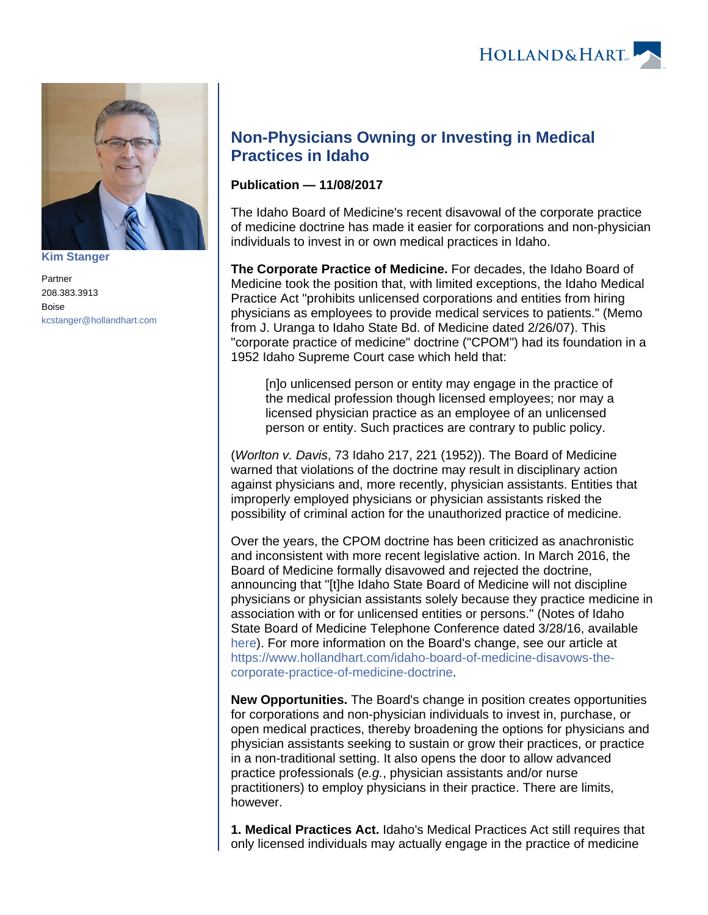

**[Kim Stanger](https://www.hollandhart.com/15954)**

Partner 208.383.3913 Boise [kcstanger@hollandhart.com](mailto:kcstanger@hollandhart.com)

## **Non-Physicians Owning or Investing in Medical Practices in Idaho**

## **Publication — 11/08/2017**

The Idaho Board of Medicine's recent disavowal of the corporate practice of medicine doctrine has made it easier for corporations and non-physician individuals to invest in or own medical practices in Idaho.

**The Corporate Practice of Medicine.** For decades, the Idaho Board of Medicine took the position that, with limited exceptions, the Idaho Medical Practice Act "prohibits unlicensed corporations and entities from hiring physicians as employees to provide medical services to patients." (Memo from J. Uranga to Idaho State Bd. of Medicine dated 2/26/07). This "corporate practice of medicine" doctrine ("CPOM") had its foundation in a 1952 Idaho Supreme Court case which held that:

[n]o unlicensed person or entity may engage in the practice of the medical profession though licensed employees; nor may a licensed physician practice as an employee of an unlicensed person or entity. Such practices are contrary to public policy.

(Worlton v. Davis, 73 Idaho 217, 221 (1952)). The Board of Medicine warned that violations of the doctrine may result in disciplinary action against physicians and, more recently, physician assistants. Entities that improperly employed physicians or physician assistants risked the possibility of criminal action for the unauthorized practice of medicine.

Over the years, the CPOM doctrine has been criticized as anachronistic and inconsistent with more recent legislative action. In March 2016, the Board of Medicine formally disavowed and rejected the doctrine, announcing that "[t]he Idaho State Board of Medicine will not discipline physicians or physician assistants solely because they practice medicine in association with or for unlicensed entities or persons." (Notes of Idaho State Board of Medicine Telephone Conference dated 3/28/16, available [here\)](http://www.hollandhart.com/pdf/BOM%25202016-03.pdf). For more information on the Board's change, see our article at [https://www.hollandhart.com/idaho-board-of-medicine-disavows-the](https://www.hollandhart.com/idaho-board-of-medicine-disavows-the-corporate-practice-of-medicine-doctrine)[corporate-practice-of-medicine-doctrine.](https://www.hollandhart.com/idaho-board-of-medicine-disavows-the-corporate-practice-of-medicine-doctrine)

**New Opportunities.** The Board's change in position creates opportunities for corporations and non-physician individuals to invest in, purchase, or open medical practices, thereby broadening the options for physicians and physician assistants seeking to sustain or grow their practices, or practice in a non-traditional setting. It also opens the door to allow advanced practice professionals (e.g., physician assistants and/or nurse practitioners) to employ physicians in their practice. There are limits, however.

**1. Medical Practices Act.** Idaho's Medical Practices Act still requires that only licensed individuals may actually engage in the practice of medicine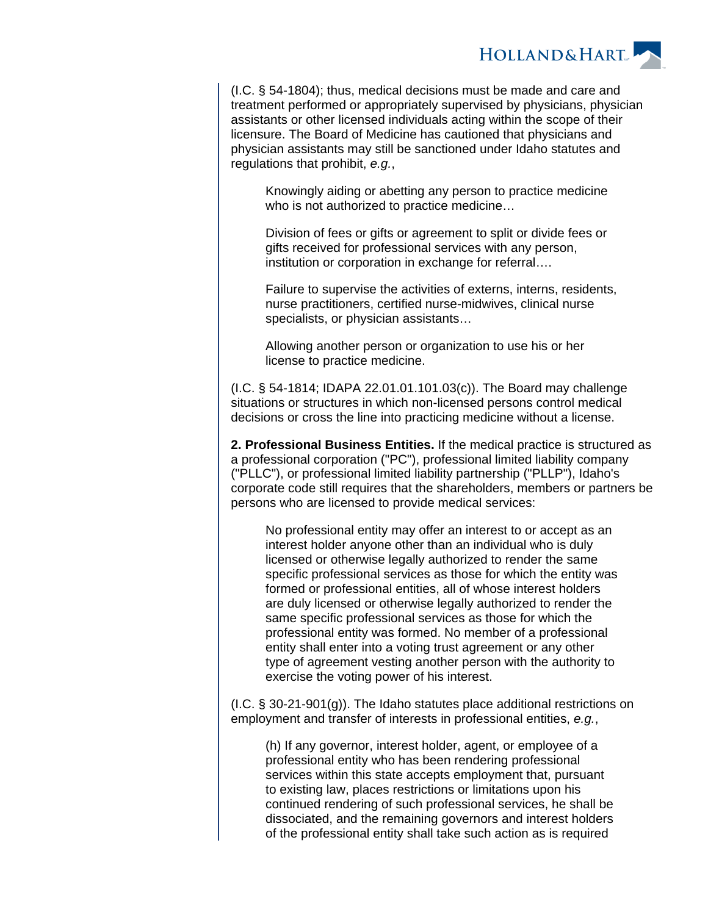

(I.C. § 54-1804); thus, medical decisions must be made and care and treatment performed or appropriately supervised by physicians, physician assistants or other licensed individuals acting within the scope of their licensure. The Board of Medicine has cautioned that physicians and physician assistants may still be sanctioned under Idaho statutes and regulations that prohibit, e.g.,

Knowingly aiding or abetting any person to practice medicine who is not authorized to practice medicine…

Division of fees or gifts or agreement to split or divide fees or gifts received for professional services with any person, institution or corporation in exchange for referral….

Failure to supervise the activities of externs, interns, residents, nurse practitioners, certified nurse-midwives, clinical nurse specialists, or physician assistants…

Allowing another person or organization to use his or her license to practice medicine.

(I.C. § 54-1814; IDAPA 22.01.01.101.03(c)). The Board may challenge situations or structures in which non-licensed persons control medical decisions or cross the line into practicing medicine without a license.

**2. Professional Business Entities.** If the medical practice is structured as a professional corporation ("PC"), professional limited liability company ("PLLC"), or professional limited liability partnership ("PLLP"), Idaho's corporate code still requires that the shareholders, members or partners be persons who are licensed to provide medical services:

No professional entity may offer an interest to or accept as an interest holder anyone other than an individual who is duly licensed or otherwise legally authorized to render the same specific professional services as those for which the entity was formed or professional entities, all of whose interest holders are duly licensed or otherwise legally authorized to render the same specific professional services as those for which the professional entity was formed. No member of a professional entity shall enter into a voting trust agreement or any other type of agreement vesting another person with the authority to exercise the voting power of his interest.

(I.C. § 30-21-901(g)). The Idaho statutes place additional restrictions on employment and transfer of interests in professional entities, e.g.,

(h) If any governor, interest holder, agent, or employee of a professional entity who has been rendering professional services within this state accepts employment that, pursuant to existing law, places restrictions or limitations upon his continued rendering of such professional services, he shall be dissociated, and the remaining governors and interest holders of the professional entity shall take such action as is required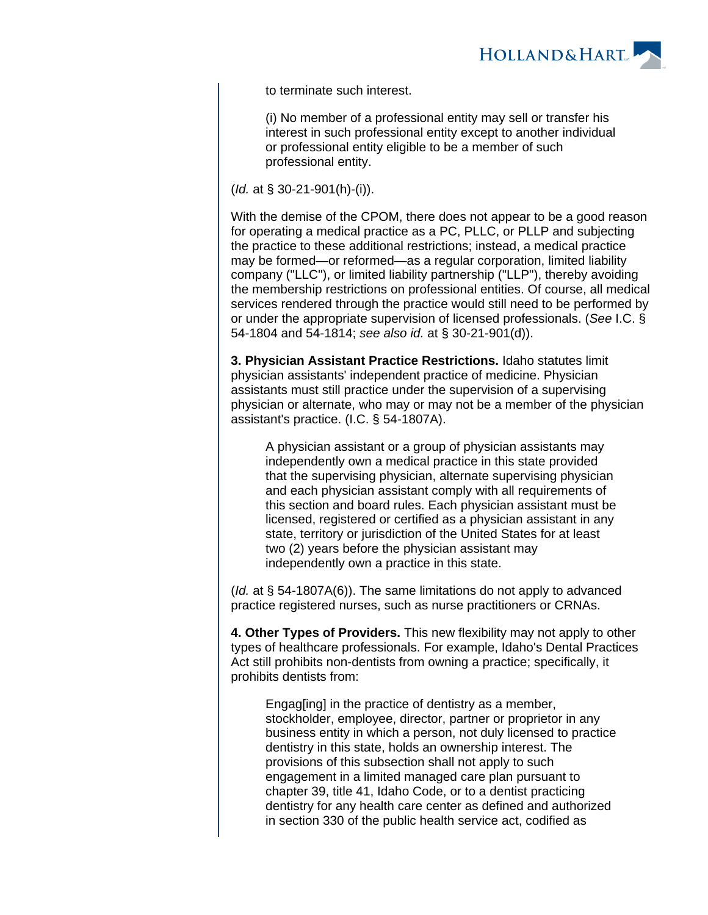

to terminate such interest.

(i) No member of a professional entity may sell or transfer his interest in such professional entity except to another individual or professional entity eligible to be a member of such professional entity.

(Id. at § 30-21-901(h)-(i)).

With the demise of the CPOM, there does not appear to be a good reason for operating a medical practice as a PC, PLLC, or PLLP and subjecting the practice to these additional restrictions; instead, a medical practice may be formed—or reformed—as a regular corporation, limited liability company ("LLC"), or limited liability partnership ("LLP"), thereby avoiding the membership restrictions on professional entities. Of course, all medical services rendered through the practice would still need to be performed by or under the appropriate supervision of licensed professionals. (See I.C. § 54-1804 and 54-1814; see also id. at § 30-21-901(d)).

**3. Physician Assistant Practice Restrictions.** Idaho statutes limit physician assistants' independent practice of medicine. Physician assistants must still practice under the supervision of a supervising physician or alternate, who may or may not be a member of the physician assistant's practice. (I.C. § 54-1807A).

A physician assistant or a group of physician assistants may independently own a medical practice in this state provided that the supervising physician, alternate supervising physician and each physician assistant comply with all requirements of this section and board rules. Each physician assistant must be licensed, registered or certified as a physician assistant in any state, territory or jurisdiction of the United States for at least two (2) years before the physician assistant may independently own a practice in this state.

(Id. at § 54-1807A(6)). The same limitations do not apply to advanced practice registered nurses, such as nurse practitioners or CRNAs.

**4. Other Types of Providers.** This new flexibility may not apply to other types of healthcare professionals. For example, Idaho's Dental Practices Act still prohibits non-dentists from owning a practice; specifically, it prohibits dentists from:

Engag[ing] in the practice of dentistry as a member, stockholder, employee, director, partner or proprietor in any business entity in which a person, not duly licensed to practice dentistry in this state, holds an ownership interest. The provisions of this subsection shall not apply to such engagement in a limited managed care plan pursuant to chapter 39, title 41, Idaho Code, or to a dentist practicing dentistry for any health care center as defined and authorized in section 330 of the public health service act, codified as